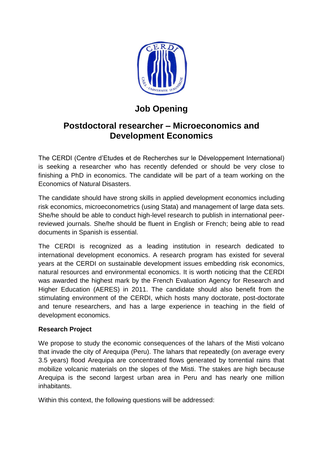

## **Job Opening**

## **Postdoctoral researcher – Microeconomics and Development Economics**

The CERDI (Centre d'Etudes et de Recherches sur le Développement International) is seeking a researcher who has recently defended or should be very close to finishing a PhD in economics. The candidate will be part of a team working on the Economics of Natural Disasters.

The candidate should have strong skills in applied development economics including risk economics, microeconometrics (using Stata) and management of large data sets. She/he should be able to conduct high-level research to publish in international peerreviewed journals. She/he should be fluent in English or French; being able to read documents in Spanish is essential.

The CERDI is recognized as a leading institution in research dedicated to international development economics. A research program has existed for several years at the CERDI on sustainable development issues embedding risk economics, natural resources and environmental economics. It is worth noticing that the CERDI was awarded the highest mark by the French Evaluation Agency for Research and Higher Education (AERES) in 2011. The candidate should also benefit from the stimulating environment of the CERDI, which hosts many doctorate, post-doctorate and tenure researchers, and has a large experience in teaching in the field of development economics.

## **Research Project**

We propose to study the economic consequences of the lahars of the Misti volcano that invade the city of Arequipa (Peru). The lahars that repeatedly (on average every 3.5 years) flood Arequipa are concentrated flows generated by torrential rains that mobilize volcanic materials on the slopes of the Misti. The stakes are high because Arequipa is the second largest urban area in Peru and has nearly one million inhabitants.

Within this context, the following questions will be addressed: